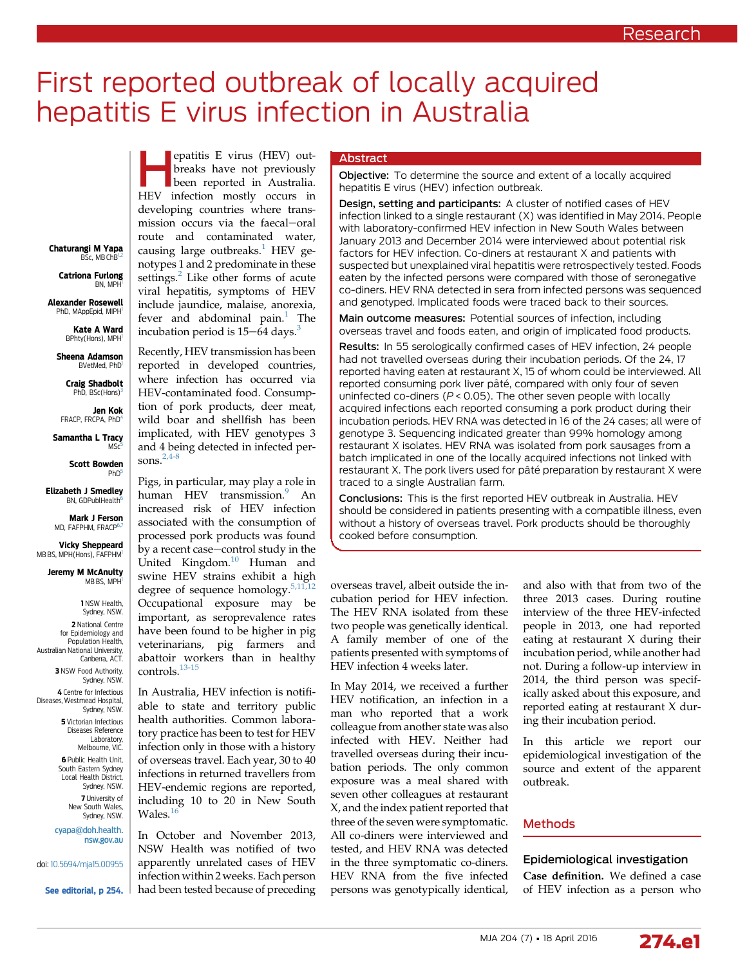# First reported outbreak of locally acquired hepatitis E virus infection in Australia

Chaturangi M Yapa B<sub>Sc</sub>, MBChB

Catriona Furlong BN, MPH<sup>1</sup>

Alexander Rosewell PhD, MAppEpid, MIPH

> Kate A Ward BPhty(Hons), MPH

Sheena Adamson BVetMed, PhD

> Craig Shadbolt PhD, BSc(Hons)

Jen Kok FRACP, FRCPA, PhD4

Samantha L Tracy  $MSc^5$ 

> Scott Bowden P<sub>hD</sub>

Elizabeth J Smedley BN, GDPublHealth

Mark J Ferson MD, FAFPHM, FRACP

Vicky Sheppeard MB BS, MPH(Hons), FAFPHM

> Jeremy M McAnulty MBBS, MP

1 NSW Health, Sydney, NSW. 2 National Centre for Epidemiology and Population Health, Australian National University, Canberra, ACT. 3 NSW Food Authority, Sydney, NSW. 4 Centre for Infectious Diseases, Westmead Hospital, Sydney, NSW. **5** Victorian Infectious Diseases Reference Laboratory, Melbourne, VIC. 6 Public Health Unit, South Eastern Sydney Local Health District, Sydney, NSW. 7 University of New South Wales, Sydney, NSW. [cyapa@doh.health.](mailto:cyapa@doh.health.nsw.gov.au) [nsw.gov.au](mailto:cyapa@doh.health.nsw.gov.au)

doi: [10.5694/mja15.00955](http://dx.doi.org/10.5694/mja15.00955)

See editorial, p 254.

epatitis E virus (HEV) out-<br>breaks have not previously<br>been reported in Australia. breaks have not previously been reported in Australia. HEV infection mostly occurs in developing countries where transmission occurs via the faecal-oral route and contaminated water, causing large outbreaks. $<sup>1</sup>$  $<sup>1</sup>$  $<sup>1</sup>$  HEV ge-</sup> notypes 1 and 2 predominate in these settings.<sup>[2](#page-5-0)</sup> Like other forms of acute viral hepatitis, symptoms of HEV include jaundice, malaise, anorexia, fever and abdominal  $\text{pain.}^1$  $\text{pain.}^1$  The incubation period is  $15-64$  days.<sup>[3](#page-5-0)</sup>

Recently, HEV transmission has been reported in developed countries, where infection has occurred via HEV-contaminated food. Consumption of pork products, deer meat, wild boar and shellfish has been implicated, with HEV genotypes 3 and 4 being detected in infected persons. $2,4-8$ 

Pigs, in particular, may play a role in human HEV transmission.<sup>[9](#page-5-0)</sup> An increased risk of HEV infection associated with the consumption of processed pork products was found by a recent case-control study in the United Kingdom.<sup>[10](#page-5-0)</sup> Human and swine HEV strains exhibit a high degree of sequence homology. $5,11,12$ Occupational exposure may be important, as seroprevalence rates have been found to be higher in pig veterinarians, pig farmers and abattoir workers than in healthy controls.[13-15](#page-5-0)

In Australia, HEV infection is notifiable to state and territory public health authorities. Common laboratory practice has been to test for HEV infection only in those with a history of overseas travel. Each year, 30 to 40 infections in returned travellers from HEV-endemic regions are reported, including 10 to 20 in New South Wales. $16$ 

In October and November 2013, NSW Health was notified of two apparently unrelated cases of HEV infection within 2 weeks. Each person had been tested because of preceding

#### Abstract

Objective: To determine the source and extent of a locally acquired hepatitis E virus (HEV) infection outbreak.

Design, setting and participants: A cluster of notified cases of HEV infection linked to a single restaurant (X) was identified in May 2014. People with laboratory-confirmed HEV infection in New South Wales between January 2013 and December 2014 were interviewed about potential risk factors for HEV infection. Co-diners at restaurant X and patients with suspected but unexplained viral hepatitis were retrospectively tested. Foods eaten by the infected persons were compared with those of seronegative co-diners. HEV RNA detected in sera from infected persons was sequenced and genotyped. Implicated foods were traced back to their sources.

Main outcome measures: Potential sources of infection, including overseas travel and foods eaten, and origin of implicated food products.

Results: In 55 serologically confirmed cases of HEV infection, 24 people had not travelled overseas during their incubation periods. Of the 24, 17 reported having eaten at restaurant X, 15 of whom could be interviewed. All reported consuming pork liver pâté, compared with only four of seven uninfected co-diners ( $P < 0.05$ ). The other seven people with locally acquired infections each reported consuming a pork product during their incubation periods. HEV RNA was detected in 16 of the 24 cases; all were of genotype 3. Sequencing indicated greater than 99% homology among restaurant X isolates. HEV RNA was isolated from pork sausages from a batch implicated in one of the locally acquired infections not linked with restaurant X. The pork livers used for pâté preparation by restaurant X were traced to a single Australian farm.

Conclusions: This is the first reported HEV outbreak in Australia. HEV should be considered in patients presenting with a compatible illness, even without a history of overseas travel. Pork products should be thoroughly cooked before consumption.

overseas travel, albeit outside the incubation period for HEV infection. The HEV RNA isolated from these two people was genetically identical. A family member of one of the patients presented with symptoms of HEV infection 4 weeks later.

In May 2014, we received a further HEV notification, an infection in a man who reported that a work colleague from another state was also infected with HEV. Neither had travelled overseas during their incubation periods. The only common exposure was a meal shared with seven other colleagues at restaurant X, and the index patient reported that three of the seven were symptomatic. All co-diners were interviewed and tested, and HEV RNA was detected in the three symptomatic co-diners. HEV RNA from the five infected persons was genotypically identical,

and also with that from two of the three 2013 cases. During routine interview of the three HEV-infected people in 2013, one had reported eating at restaurant X during their incubation period, while another had not. During a follow-up interview in 2014, the third person was specifically asked about this exposure, and reported eating at restaurant X during their incubation period.

In this article we report our epidemiological investigation of the source and extent of the apparent outbreak.

# **Methods**

# Epidemiological investigation

Case definition. We defined a case of HEV infection as a person who

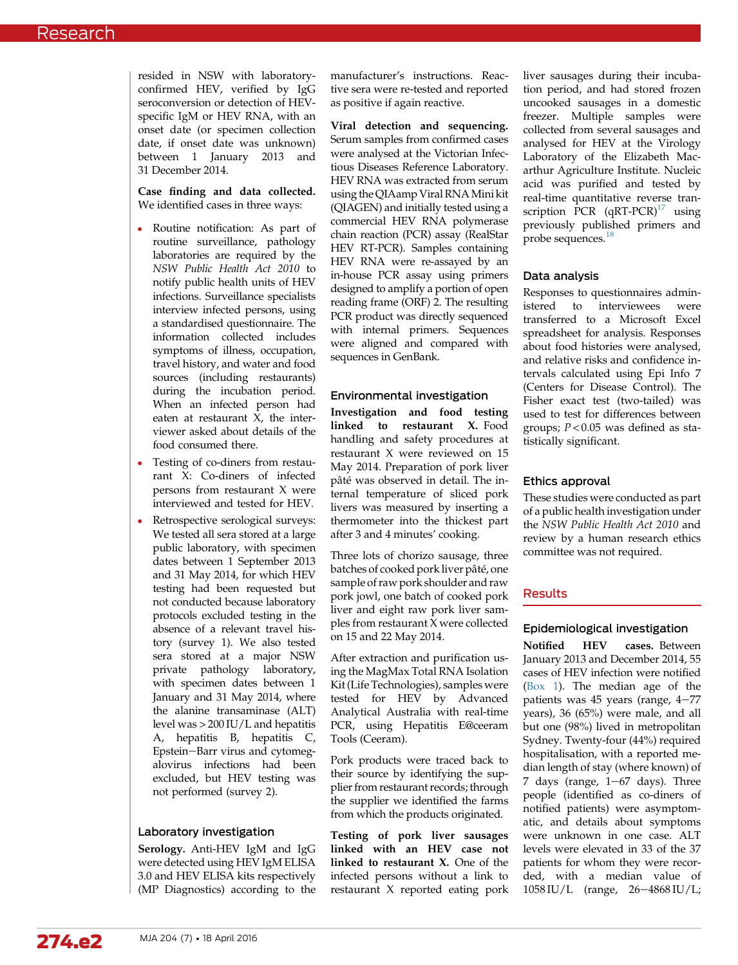resided in NSW with laboratoryconfirmed HEV, verified by IgG seroconversion or detection of HEVspecific IgM or HEV RNA, with an onset date (or specimen collection date, if onset date was unknown) between 1 January 2013 and 31 December 2014.

Case finding and data collected. We identified cases in three ways:

- Routine notification: As part of routine surveillance, pathology laboratories are required by the NSW Public Health Act 2010 to notify public health units of HEV infections. Surveillance specialists interview infected persons, using a standardised questionnaire. The information collected includes symptoms of illness, occupation, travel history, and water and food sources (including restaurants) during the incubation period. When an infected person had eaten at restaurant X, the interviewer asked about details of the food consumed there.
- Testing of co-diners from restaurant X: Co-diners of infected persons from restaurant X were interviewed and tested for HEV.
- Retrospective serological surveys: We tested all sera stored at a large public laboratory, with specimen dates between 1 September 2013 and 31 May 2014, for which HEV testing had been requested but not conducted because laboratory protocols excluded testing in the absence of a relevant travel history (survey 1). We also tested sera stored at a major NSW private pathology laboratory, with specimen dates between 1 January and 31 May 2014, where the alanine transaminase (ALT) level was > 200 IU/L and hepatitis A, hepatitis B, hepatitis C, Epstein-Barr virus and cytomegalovirus infections had been excluded, but HEV testing was not performed (survey 2).

#### Laboratory investigation

Serology. Anti-HEV IgM and IgG were detected using HEV IgM ELISA 3.0 and HEV ELISA kits respectively (MP Diagnostics) according to the manufacturer's instructions. Reactive sera were re-tested and reported as positive if again reactive.

Viral detection and sequencing. Serum samples from confirmed cases were analysed at the Victorian Infectious Diseases Reference Laboratory. HEV RNA was extracted from serum using the QIAamp Viral RNAMini kit (QIAGEN) and initially tested using a commercial HEV RNA polymerase chain reaction (PCR) assay (RealStar HEV RT-PCR). Samples containing HEV RNA were re-assayed by an in-house PCR assay using primers designed to amplify a portion of open reading frame (ORF) 2. The resulting PCR product was directly sequenced with internal primers. Sequences were aligned and compared with sequences in GenBank.

#### Environmental investigation

Investigation and food testing linked to restaurant X. Food handling and safety procedures at restaurant X were reviewed on 15 May 2014. Preparation of pork liver pâté was observed in detail. The internal temperature of sliced pork livers was measured by inserting a thermometer into the thickest part after 3 and 4 minutes' cooking.

Three lots of chorizo sausage, three batches of cooked pork liver pâté, one sample of raw pork shoulder and raw pork jowl, one batch of cooked pork liver and eight raw pork liver samples from restaurant X were collected on 15 and 22 May 2014.

After extraction and purification using the MagMax Total RNA Isolation Kit (Life Technologies), samples were tested for HEV by Advanced Analytical Australia with real-time PCR, using Hepatitis E@ceeram Tools (Ceeram).

Pork products were traced back to their source by identifying the supplier from restaurant records; through the supplier we identified the farms from which the products originated.

Testing of pork liver sausages linked with an HEV case not linked to restaurant X. One of the infected persons without a link to restaurant X reported eating pork liver sausages during their incubation period, and had stored frozen uncooked sausages in a domestic freezer. Multiple samples were collected from several sausages and analysed for HEV at the Virology Laboratory of the Elizabeth Macarthur Agriculture Institute. Nucleic acid was purified and tested by real-time quantitative reverse transcription  $\overline{PCR}$  (qRT-PCR)<sup>17</sup> using previously published primers and probe sequences.<sup>[18](#page-5-0)</sup>

#### Data analysis

Responses to questionnaires administered to interviewees were transferred to a Microsoft Excel spreadsheet for analysis. Responses about food histories were analysed, and relative risks and confidence intervals calculated using Epi Info 7 (Centers for Disease Control). The Fisher exact test (two-tailed) was used to test for differences between groups;  $P < 0.05$  was defined as statistically significant.

#### Ethics approval

These studies were conducted as part of a public health investigation under the NSW Public Health Act 2010 and review by a human research ethics committee was not required.

## Results

## Epidemiological investigation

Notified HEV cases. Between January 2013 and December 2014, 55 cases of HEV infection were notified [\(Box 1\)](#page-2-0). The median age of the patients was  $45$  years (range,  $4-77$ years), 36 (65%) were male, and all but one (98%) lived in metropolitan Sydney. Twenty-four (44%) required hospitalisation, with a reported median length of stay (where known) of 7 days (range,  $1-67$  days). Three people (identified as co-diners of notified patients) were asymptomatic, and details about symptoms were unknown in one case. ALT levels were elevated in 33 of the 37 patients for whom they were recorded, with a median value of  $1058$  IU/L (range,  $26-4868$  IU/L;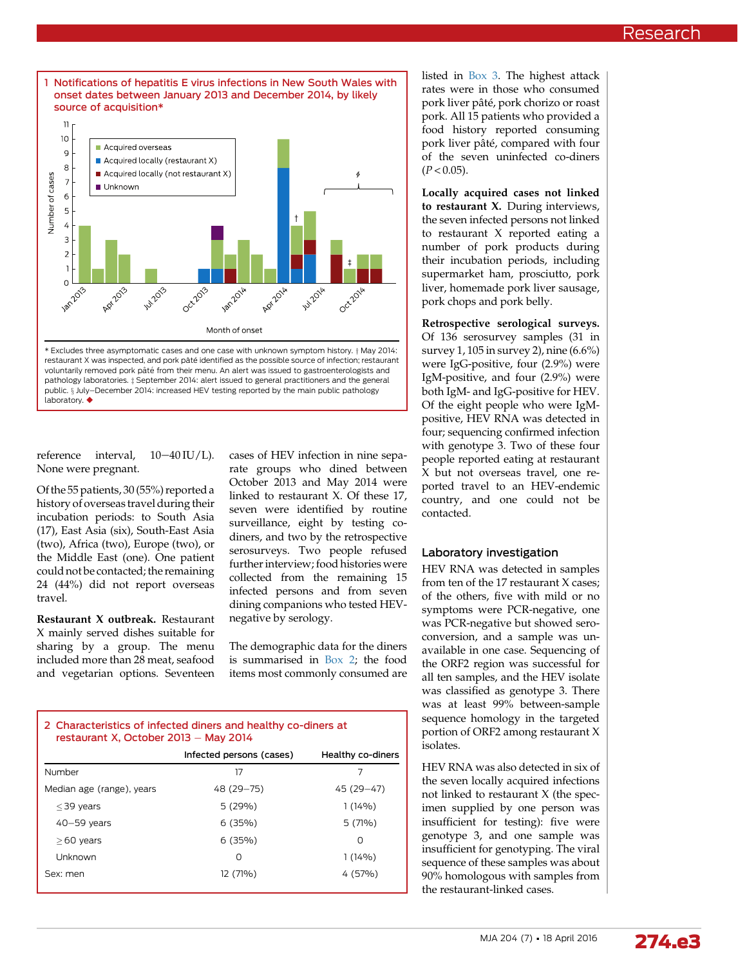<span id="page-2-0"></span>

reference interval,  $10-40$  IU/L). None were pregnant.

Of the 55 patients, 30 (55%) reported a history of overseas travel during their incubation periods: to South Asia (17), East Asia (six), South-East Asia (two), Africa (two), Europe (two), or the Middle East (one). One patient could not be contacted; the remaining 24 (44%) did not report overseas travel.

Restaurant X outbreak. Restaurant X mainly served dishes suitable for sharing by a group. The menu included more than 28 meat, seafood and vegetarian options. Seventeen cases of HEV infection in nine separate groups who dined between October 2013 and May 2014 were linked to restaurant X. Of these 17, seven were identified by routine surveillance, eight by testing codiners, and two by the retrospective serosurveys. Two people refused further interview; food histories were collected from the remaining 15 infected persons and from seven dining companions who tested HEVnegative by serology.

The demographic data for the diners is summarised in Box 2; the food items most commonly consumed are

| 2 Characteristics of infected diners and healthy co-diners at<br>restaurant X, October 2013 - May 2014 |                          |                   |  |  |  |  |  |  |
|--------------------------------------------------------------------------------------------------------|--------------------------|-------------------|--|--|--|--|--|--|
|                                                                                                        | Infected persons (cases) | Healthy co-diners |  |  |  |  |  |  |
| Number                                                                                                 | 17                       |                   |  |  |  |  |  |  |
| Median age (range), years                                                                              | 48 (29 - 75)             | 45 (29 - 47)      |  |  |  |  |  |  |
| $<$ 39 years                                                                                           | 5(29%)                   | 1(14%)            |  |  |  |  |  |  |
| $40 - 59$ vears                                                                                        | 6(35%)                   | 5(71%)            |  |  |  |  |  |  |
| $>60$ years                                                                                            | 6(35%)                   | O                 |  |  |  |  |  |  |
| Unknown                                                                                                | O                        | 1(14%)            |  |  |  |  |  |  |
| Sex: men                                                                                               | $12(71\%)$               | 4 (57%)           |  |  |  |  |  |  |

listed in [Box 3.](#page-3-0) The highest attack rates were in those who consumed pork liver pâté, pork chorizo or roast pork. All 15 patients who provided a food history reported consuming pork liver pâté, compared with four of the seven uninfected co-diners  $(P < 0.05)$ .

Locally acquired cases not linked to restaurant X. During interviews, the seven infected persons not linked to restaurant X reported eating a number of pork products during their incubation periods, including supermarket ham, prosciutto, pork liver, homemade pork liver sausage, pork chops and pork belly.

Retrospective serological surveys. Of 136 serosurvey samples (31 in survey 1, 105 in survey 2), nine (6.6%) were IgG-positive, four (2.9%) were IgM-positive, and four (2.9%) were both IgM- and IgG-positive for HEV. Of the eight people who were IgMpositive, HEV RNA was detected in four; sequencing confirmed infection with genotype 3. Two of these four people reported eating at restaurant X but not overseas travel, one reported travel to an HEV-endemic country, and one could not be contacted.

#### Laboratory investigation

HEV RNA was detected in samples from ten of the 17 restaurant X cases; of the others, five with mild or no symptoms were PCR-negative, one was PCR-negative but showed seroconversion, and a sample was unavailable in one case. Sequencing of the ORF2 region was successful for all ten samples, and the HEV isolate was classified as genotype 3. There was at least 99% between-sample sequence homology in the targeted portion of ORF2 among restaurant X isolates.

HEV RNA was also detected in six of the seven locally acquired infections not linked to restaurant X (the specimen supplied by one person was insufficient for testing): five were genotype 3, and one sample was insufficient for genotyping. The viral sequence of these samples was about 90% homologous with samples from the restaurant-linked cases.

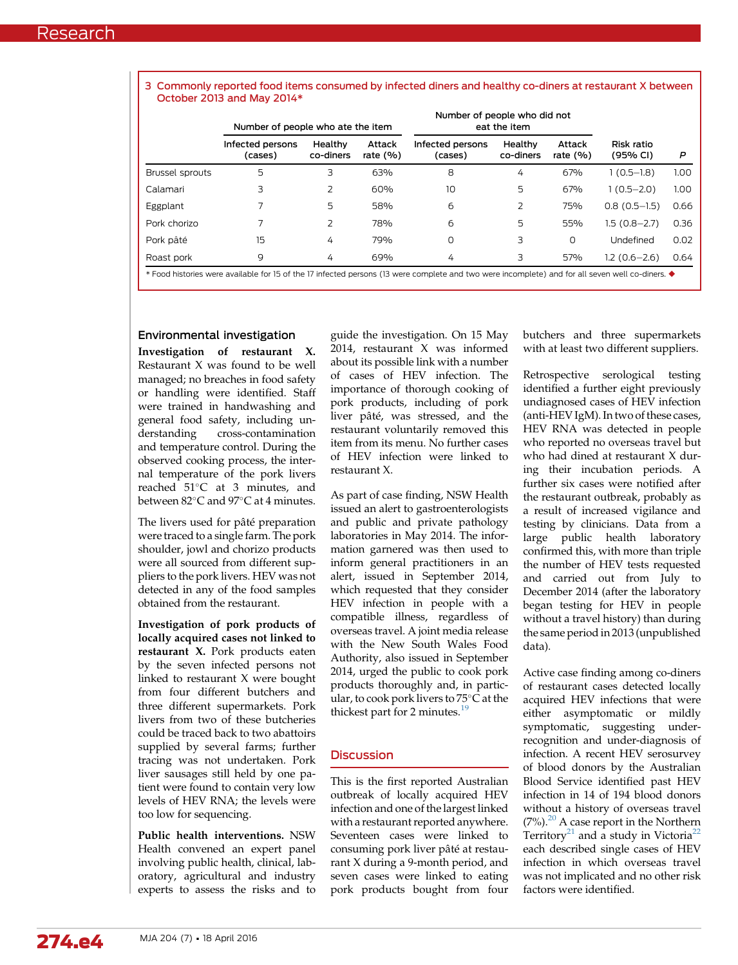#### <span id="page-3-0"></span>3 Commonly reported food items consumed by infected diners and healthy co-diners at restaurant X between October 2013 and May 2014\*

|                                                                                                                                                                | Number of people who ate the item |                      |                       | Number of people who did not<br>eat the item |                      |                       |                        |      |  |
|----------------------------------------------------------------------------------------------------------------------------------------------------------------|-----------------------------------|----------------------|-----------------------|----------------------------------------------|----------------------|-----------------------|------------------------|------|--|
|                                                                                                                                                                | Infected persons<br>(cases)       | Healthy<br>co-diners | Attack<br>rate $(% )$ | Infected persons<br>(cases)                  | Healthy<br>co-diners | Attack<br>rate $(% )$ | Risk ratio<br>(95% CI) | P    |  |
| Brussel sprouts                                                                                                                                                | 5                                 | 3                    | 63%                   | 8                                            | 4                    | 67%                   | $1(0.5-1.8)$           | 1.00 |  |
| Calamari                                                                                                                                                       | 3                                 | 2                    | 60%                   | 10                                           | 5                    | 67%                   | $1(0.5 - 2.0)$         | 1.00 |  |
| Eggplant                                                                                                                                                       |                                   | 5                    | 58%                   | 6                                            | 2                    | 75%                   | $0.8(0.5-1.5)$         | 0.66 |  |
| Pork chorizo                                                                                                                                                   |                                   | 2                    | 78%                   | 6                                            | 5                    | 55%                   | $1.5(0.8-2.7)$         | 0.36 |  |
| Pork pâté                                                                                                                                                      | 15                                | 4                    | 79%                   | O                                            | 3                    | $\Omega$              | Undefined              | 0.02 |  |
| Roast pork                                                                                                                                                     | 9                                 | 4                    | 69%                   | 4                                            | 3                    | 57%                   | $1.2(0.6-2.6)$         | 0.64 |  |
| * Food histories were available for 15 of the 17 infected persons (13 were complete and two were incomplete) and for all seven well co-diners. $\blacklozenge$ |                                   |                      |                       |                                              |                      |                       |                        |      |  |

#### Environmental investigation

Investigation of restaurant X. Restaurant X was found to be well managed; no breaches in food safety or handling were identified. Staff were trained in handwashing and general food safety, including understanding cross-contamination and temperature control. During the observed cooking process, the internal temperature of the pork livers reached 51°C at 3 minutes, and between  $82^{\circ}$ C and  $97^{\circ}$ C at 4 minutes.

The livers used for pâté preparation were traced to a single farm. The pork shoulder, jowl and chorizo products were all sourced from different suppliers to the pork livers. HEV was not detected in any of the food samples obtained from the restaurant.

Investigation of pork products of locally acquired cases not linked to restaurant X. Pork products eaten by the seven infected persons not linked to restaurant X were bought from four different butchers and three different supermarkets. Pork livers from two of these butcheries could be traced back to two abattoirs supplied by several farms; further tracing was not undertaken. Pork liver sausages still held by one patient were found to contain very low levels of HEV RNA; the levels were too low for sequencing.

Public health interventions. NSW Health convened an expert panel involving public health, clinical, laboratory, agricultural and industry experts to assess the risks and to

guide the investigation. On 15 May  $2014$ , restaurant X was informed about its possible link with a number of cases of HEV infection. The importance of thorough cooking of pork products, including of pork liver pâté, was stressed, and the restaurant voluntarily removed this item from its menu. No further cases of HEV infection were linked to restaurant X.

As part of case finding, NSW Health issued an alert to gastroenterologists and public and private pathology laboratories in May 2014. The information garnered was then used to inform general practitioners in an alert, issued in September 2014, which requested that they consider HEV infection in people with a compatible illness, regardless of overseas travel. A joint media release with the New South Wales Food Authority, also issued in September 2014, urged the public to cook pork products thoroughly and, in particular, to cook pork livers to 75°C at the thickest part for 2 minutes.<sup>[19](#page-5-0)</sup>

## **Discussion**

This is the first reported Australian outbreak of locally acquired HEV infection and one of the largest linked with a restaurant reported anywhere. Seventeen cases were linked to consuming pork liver pâté at restaurant X during a 9-month period, and seven cases were linked to eating pork products bought from four butchers and three supermarkets with at least two different suppliers.

Retrospective serological testing identified a further eight previously undiagnosed cases of HEV infection (anti-HEV IgM). In two of these cases, HEV RNA was detected in people who reported no overseas travel but who had dined at restaurant X during their incubation periods. A further six cases were notified after the restaurant outbreak, probably as a result of increased vigilance and testing by clinicians. Data from a large public health laboratory confirmed this, with more than triple the number of HEV tests requested and carried out from July to December 2014 (after the laboratory began testing for HEV in people without a travel history) than during the same period in 2013 (unpublished data).

Active case finding among co-diners of restaurant cases detected locally acquired HEV infections that were either asymptomatic or mildly symptomatic, suggesting underrecognition and under-diagnosis of infection. A recent HEV serosurvey of blood donors by the Australian Blood Service identified past HEV infection in 14 of 194 blood donors without a history of overseas travel  $(7\%)$ .<sup>20</sup> A case report in the Northern Territory<sup>[21](#page-5-0)</sup> and a study in Victoria<sup>[22](#page-5-0)</sup> each described single cases of HEV infection in which overseas travel was not implicated and no other risk factors were identified.

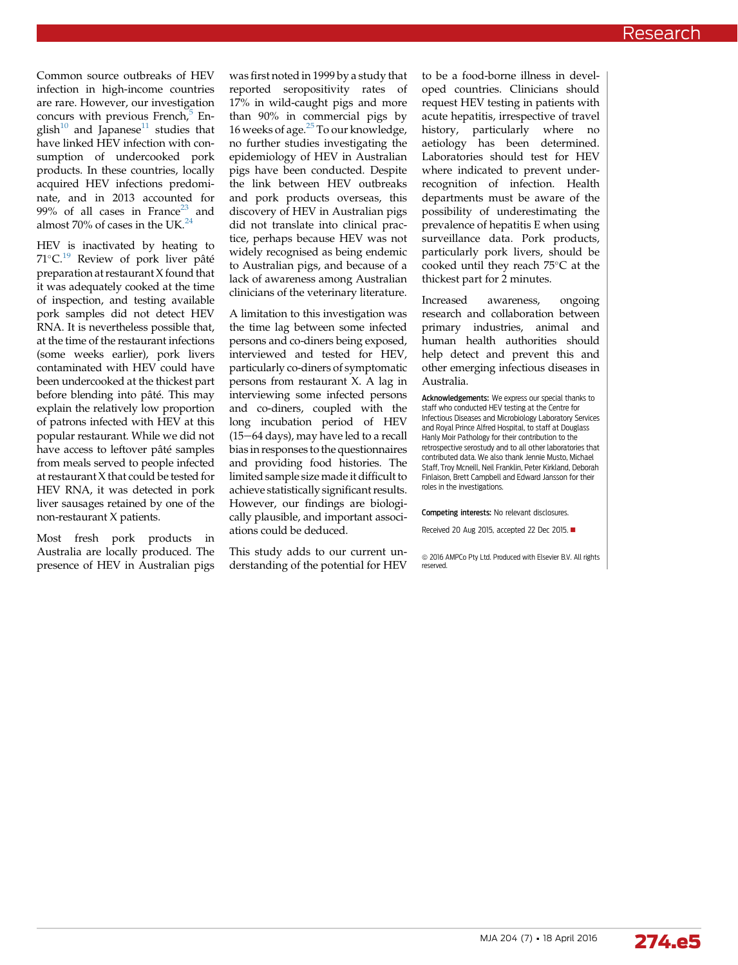Common source outbreaks of HEV infection in high-income countries are rare. However, our investigation concurs with previous French, $5$  English $10$  and Japanese<sup>[11](#page-5-0)</sup> studies that have linked HEV infection with consumption of undercooked pork products. In these countries, locally acquired HEV infections predominate, and in 2013 accounted for 99% of all cases in France<sup>[23](#page-5-0)</sup> and almost  $70\%$  of cases in the UK.<sup>[24](#page-5-0)</sup>

HEV is inactivated by heating to  $71^{\circ}$ C.<sup>19</sup> Review of pork liver pâté preparation at restaurant X found that it was adequately cooked at the time of inspection, and testing available pork samples did not detect HEV RNA. It is nevertheless possible that, at the time of the restaurant infections (some weeks earlier), pork livers contaminated with HEV could have been undercooked at the thickest part before blending into pâté. This may explain the relatively low proportion of patrons infected with HEV at this popular restaurant. While we did not have access to leftover pâté samples from meals served to people infected at restaurant X that could be tested for HEV RNA, it was detected in pork liver sausages retained by one of the non-restaurant X patients.

Most fresh pork products in Australia are locally produced. The presence of HEV in Australian pigs was first noted in 1999 by a study that reported seropositivity rates of 17% in wild-caught pigs and more than 90% in commercial pigs by 16 weeks of age.<sup>[25](#page-5-0)</sup> To our knowledge, no further studies investigating the epidemiology of HEV in Australian pigs have been conducted. Despite the link between HEV outbreaks and pork products overseas, this discovery of HEV in Australian pigs did not translate into clinical practice, perhaps because HEV was not widely recognised as being endemic to Australian pigs, and because of a lack of awareness among Australian clinicians of the veterinary literature.

A limitation to this investigation was the time lag between some infected persons and co-diners being exposed, interviewed and tested for HEV, particularly co-diners of symptomatic persons from restaurant X. A lag in interviewing some infected persons and co-diners, coupled with the long incubation period of HEV  $(15-64 \text{ days})$ , may have led to a recall bias in responses to the questionnaires and providing food histories. The limited sample size made it difficult to achieve statistically significant results. However, our findings are biologically plausible, and important associations could be deduced.

This study adds to our current understanding of the potential for HEV

to be a food-borne illness in developed countries. Clinicians should request HEV testing in patients with acute hepatitis, irrespective of travel history, particularly where no aetiology has been determined. Laboratories should test for HEV where indicated to prevent underrecognition of infection. Health departments must be aware of the possibility of underestimating the prevalence of hepatitis E when using surveillance data. Pork products, particularly pork livers, should be cooked until they reach  $75^{\circ}$ C at the thickest part for 2 minutes.

Increased awareness, ongoing research and collaboration between primary industries, animal and human health authorities should help detect and prevent this and other emerging infectious diseases in Australia.

Acknowledgements: We express our special thanks to staff who conducted HEV testing at the Centre for Infectious Diseases and Microbiology Laboratory Services and Royal Prince Alfred Hospital, to staff at Douglass Hanly Moir Pathology for their contribution to the retrospective serostudy and to all other laboratories that contributed data. We also thank Jennie Musto, Michael Staff, Troy Mcneill, Neil Franklin, Peter Kirkland, Deborah Finlaison, Brett Campbell and Edward Jansson for their roles in the investigations.

Competing interests: No relevant disclosures.

Received 20 Aug 2015, accepted 22 Dec 2015.

 $@$  2016 AMPCo Pty Ltd. Produced with Elsevier B.V. All rights reserved.